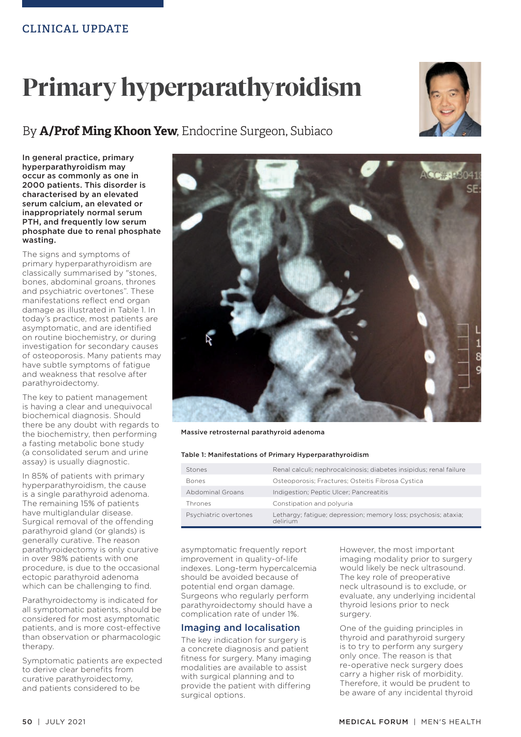# **Primary hyperparathyroidism**





In general practice, primary hyperparathyroidism may occur as commonly as one in 2000 patients. This disorder is characterised by an elevated serum calcium, an elevated or inappropriately normal serum PTH, and frequently low serum phosphate due to renal phosphate wasting.

The signs and symptoms of primary hyperparathyroidism are classically summarised by "stones, bones, abdominal groans, thrones and psychiatric overtones". These manifestations reflect end organ damage as illustrated in Table 1. In today's practice, most patients are asymptomatic, and are identified on routine biochemistry, or during investigation for secondary causes of osteoporosis. Many patients may have subtle symptoms of fatigue and weakness that resolve after parathyroidectomy.

The key to patient management is having a clear and unequivocal biochemical diagnosis. Should there be any doubt with regards to the biochemistry, then performing a fasting metabolic bone study (a consolidated serum and urine assay) is usually diagnostic.

In 85% of patients with primary hyperparathyroidism, the cause is a single parathyroid adenoma. The remaining 15% of patients have multiglandular disease. Surgical removal of the offending parathyroid gland (or glands) is generally curative. The reason parathyroidectomy is only curative in over 98% patients with one procedure, is due to the occasional ectopic parathyroid adenoma which can be challenging to find.

Parathyroidectomy is indicated for all symptomatic patients, should be considered for most asymptomatic patients, and is more cost-effective than observation or pharmacologic therapy.

Symptomatic patients are expected to derive clear benefits from curative parathyroidectomy, and patients considered to be



Massive retrosternal parathyroid adenoma

## Table 1: Manifestations of Primary Hyperparathyroidism

| Stones                  | Renal calculi; nephrocalcinosis; diabetes insipidus; renal failure         |
|-------------------------|----------------------------------------------------------------------------|
| <b>Bones</b>            | Osteoporosis; Fractures; Osteitis Fibrosa Cystica                          |
| <b>Abdominal Groans</b> | Indigestion; Peptic Ulcer; Pancreatitis                                    |
| Thrones                 | Constipation and polyuria                                                  |
| Psychiatric overtones   | Lethargy; fatique; depression; memory loss; psychosis; ataxia;<br>delirium |

asymptomatic frequently report improvement in quality-of-life indexes. Long-term hypercalcemia should be avoided because of potential end organ damage. Surgeons who regularly perform parathyroidectomy should have a complication rate of under 1%.

## Imaging and localisation

The key indication for surgery is a concrete diagnosis and patient fitness for surgery. Many imaging modalities are available to assist with surgical planning and to provide the patient with differing surgical options.

However, the most important imaging modality prior to surgery would likely be neck ultrasound. The key role of preoperative neck ultrasound is to exclude, or evaluate, any underlying incidental thyroid lesions prior to neck surgery.

One of the guiding principles in thyroid and parathyroid surgery is to try to perform any surgery only once. The reason is that re-operative neck surgery does carry a higher risk of morbidity. Therefore, it would be prudent to be aware of any incidental thyroid